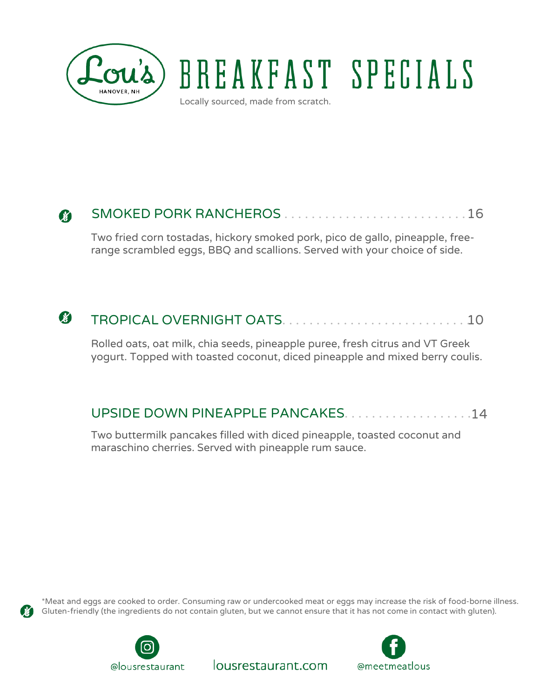

# BREAKFAST SPECIALS

Locally sourced, made from scratch.

#### SMOKED PORK RANCHEROS ... . . . . . . . . . . 16 84

Two fried corn tostadas, hickory smoked pork, pico de gallo, pineapple, freerange scrambled eggs, BBQ and scallions. Served with your choice of side.

#### Ø TROPICAL OVERNIGHT OATS. . . . . . . . . . . . . . . . . . . . . . . . . . . . 10

Rolled oats, oat milk, chia seeds, pineapple puree, fresh citrus and VT Greek yogurt. Topped with toasted coconut, diced pineapple and mixed berry coulis.

## UPSIDE DOWN PINEAPPLE PANCAKES. . . . . . . . . . . . . . . . . . . 14

Two buttermilk pancakes filled with diced pineapple, toasted coconut and maraschino cherries. Served with pineapple rum sauce.



\*Meat and eggs are cooked to order. Consuming raw or undercooked meat or eggs may increase the risk of food-borne illness. Gluten-friendly (the ingredients do not contain gluten, but we cannot ensure that it has not come in contact with gluten).

lousrestaurant.com